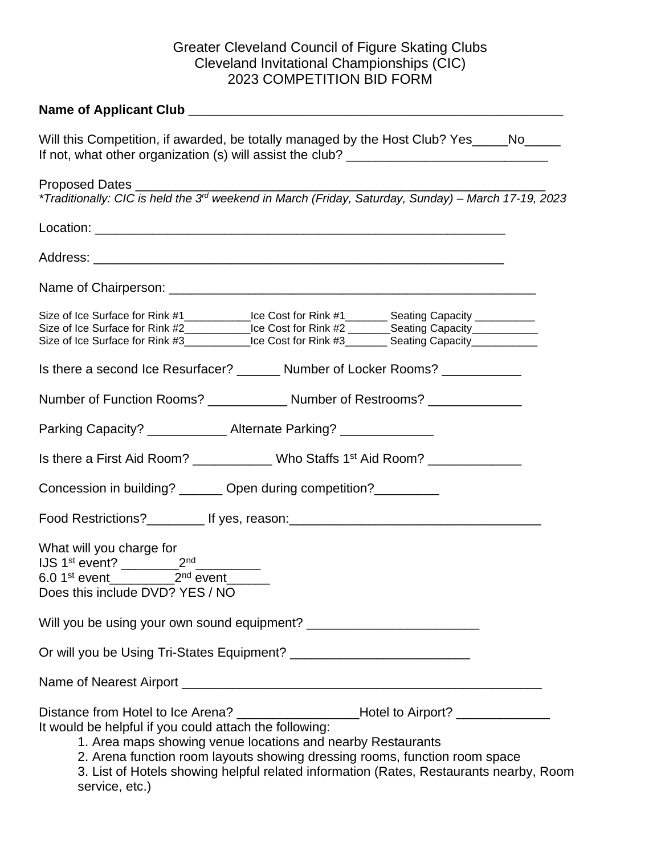## Greater Cleveland Council of Figure Skating Clubs Cleveland Invitational Championships (CIC) 2023 COMPETITION BID FORM

| Will this Competition, if awarded, be totally managed by the Host Club? Yes_____No_____                                                                                                                                                                                                                                                                                                              |  |  |  |  |
|------------------------------------------------------------------------------------------------------------------------------------------------------------------------------------------------------------------------------------------------------------------------------------------------------------------------------------------------------------------------------------------------------|--|--|--|--|
| Proposed Dates __________<br>*Traditionally: CIC is held the 3 <sup>rd</sup> weekend in March (Friday, Saturday, Sunday) – March 17-19, 2023                                                                                                                                                                                                                                                         |  |  |  |  |
|                                                                                                                                                                                                                                                                                                                                                                                                      |  |  |  |  |
|                                                                                                                                                                                                                                                                                                                                                                                                      |  |  |  |  |
|                                                                                                                                                                                                                                                                                                                                                                                                      |  |  |  |  |
| Size of Ice Surface for Rink #1_____________Ice Cost for Rink #1_________ Seating Capacity __________<br>Size of Ice Surface for Rink #2____________Ice Cost for Rink #2 _______Seating Capacity___________<br>Size of Ice Surface for Rink #3____________Ice Cost for Rink #3_________ Seating Capacity___________                                                                                  |  |  |  |  |
| Is there a second Ice Resurfacer? _______ Number of Locker Rooms? _____________                                                                                                                                                                                                                                                                                                                      |  |  |  |  |
| Number of Function Rooms? _____________ Number of Restrooms? ______________                                                                                                                                                                                                                                                                                                                          |  |  |  |  |
| Parking Capacity? _____________ Alternate Parking? _____________                                                                                                                                                                                                                                                                                                                                     |  |  |  |  |
| Is there a First Aid Room? _____________ Who Staffs 1 <sup>st</sup> Aid Room? _____________                                                                                                                                                                                                                                                                                                          |  |  |  |  |
| Concession in building? _______ Open during competition?_________                                                                                                                                                                                                                                                                                                                                    |  |  |  |  |
| Food Restrictions?____________ If yes, reason:__________________________________                                                                                                                                                                                                                                                                                                                     |  |  |  |  |
| What will you charge for<br>6.0 1 <sup>st</sup> event_____________2 <sup>nd</sup> event_<br>Does this include DVD? YES / NO                                                                                                                                                                                                                                                                          |  |  |  |  |
|                                                                                                                                                                                                                                                                                                                                                                                                      |  |  |  |  |
|                                                                                                                                                                                                                                                                                                                                                                                                      |  |  |  |  |
|                                                                                                                                                                                                                                                                                                                                                                                                      |  |  |  |  |
| Distance from Hotel to Ice Arena? ___________________Hotel to Airport? __________<br>It would be helpful if you could attach the following:<br>1. Area maps showing venue locations and nearby Restaurants<br>2. Arena function room layouts showing dressing rooms, function room space<br>3. List of Hotels showing helpful related information (Rates, Restaurants nearby, Room<br>service, etc.) |  |  |  |  |